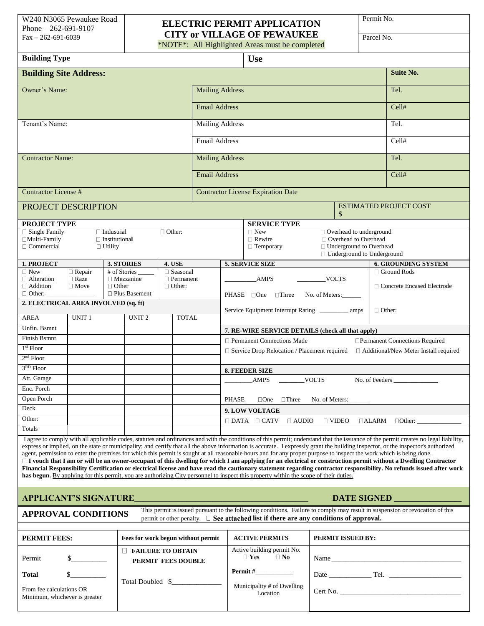## **ELECTRIC PERMIT APPLICATION** Fax – 262-691-6039<br>
Fax – 262-691-6039 **CITY or VILLAGE OF PEWAUKEE**

\*NOTE\*: All Highlighted Areas must be completed

Permit No.

| <b>Building Type</b>                                                                                                                                                                                                                                                                                                                                                                                                                                                                                                                                                                                                                                                                                                                                                                                                                                                                                                                                                                                                                  |               |                      |                                                |                  |                  |                                                       | <b>Use</b>                                          |                |                                                                |  |                                              |
|---------------------------------------------------------------------------------------------------------------------------------------------------------------------------------------------------------------------------------------------------------------------------------------------------------------------------------------------------------------------------------------------------------------------------------------------------------------------------------------------------------------------------------------------------------------------------------------------------------------------------------------------------------------------------------------------------------------------------------------------------------------------------------------------------------------------------------------------------------------------------------------------------------------------------------------------------------------------------------------------------------------------------------------|---------------|----------------------|------------------------------------------------|------------------|------------------|-------------------------------------------------------|-----------------------------------------------------|----------------|----------------------------------------------------------------|--|----------------------------------------------|
| <b>Building Site Address:</b>                                                                                                                                                                                                                                                                                                                                                                                                                                                                                                                                                                                                                                                                                                                                                                                                                                                                                                                                                                                                         |               |                      |                                                |                  |                  |                                                       |                                                     |                |                                                                |  | <b>Suite No.</b>                             |
| Owner's Name:                                                                                                                                                                                                                                                                                                                                                                                                                                                                                                                                                                                                                                                                                                                                                                                                                                                                                                                                                                                                                         |               |                      |                                                |                  |                  | <b>Mailing Address</b>                                |                                                     |                |                                                                |  | Tel.                                         |
|                                                                                                                                                                                                                                                                                                                                                                                                                                                                                                                                                                                                                                                                                                                                                                                                                                                                                                                                                                                                                                       |               |                      |                                                |                  |                  | <b>Email Address</b>                                  |                                                     |                |                                                                |  | Cell#                                        |
| Tenant's Name:                                                                                                                                                                                                                                                                                                                                                                                                                                                                                                                                                                                                                                                                                                                                                                                                                                                                                                                                                                                                                        |               |                      |                                                |                  |                  | <b>Mailing Address</b>                                |                                                     |                |                                                                |  | Tel.                                         |
|                                                                                                                                                                                                                                                                                                                                                                                                                                                                                                                                                                                                                                                                                                                                                                                                                                                                                                                                                                                                                                       |               |                      |                                                |                  |                  | <b>Email Address</b>                                  |                                                     |                |                                                                |  | Cell#                                        |
| <b>Contractor Name:</b>                                                                                                                                                                                                                                                                                                                                                                                                                                                                                                                                                                                                                                                                                                                                                                                                                                                                                                                                                                                                               |               |                      |                                                |                  |                  | <b>Mailing Address</b>                                |                                                     |                |                                                                |  | Tel.                                         |
|                                                                                                                                                                                                                                                                                                                                                                                                                                                                                                                                                                                                                                                                                                                                                                                                                                                                                                                                                                                                                                       |               |                      |                                                |                  |                  | <b>Email Address</b>                                  |                                                     |                |                                                                |  | Cell#                                        |
|                                                                                                                                                                                                                                                                                                                                                                                                                                                                                                                                                                                                                                                                                                                                                                                                                                                                                                                                                                                                                                       |               |                      |                                                |                  |                  |                                                       |                                                     |                |                                                                |  |                                              |
| <b>Contractor License #</b>                                                                                                                                                                                                                                                                                                                                                                                                                                                                                                                                                                                                                                                                                                                                                                                                                                                                                                                                                                                                           |               |                      |                                                |                  |                  | <b>Contractor License Expiration Date</b>             |                                                     |                |                                                                |  |                                              |
| PROJECT DESCRIPTION                                                                                                                                                                                                                                                                                                                                                                                                                                                                                                                                                                                                                                                                                                                                                                                                                                                                                                                                                                                                                   |               |                      |                                                |                  | \$               |                                                       |                                                     |                |                                                                |  | <b>ESTIMATED PROJECT COST</b>                |
| PROJECT TYPE                                                                                                                                                                                                                                                                                                                                                                                                                                                                                                                                                                                                                                                                                                                                                                                                                                                                                                                                                                                                                          |               |                      |                                                |                  |                  | <b>SERVICE TYPE</b>                                   |                                                     |                |                                                                |  |                                              |
| $\Box$ Single Family                                                                                                                                                                                                                                                                                                                                                                                                                                                                                                                                                                                                                                                                                                                                                                                                                                                                                                                                                                                                                  |               | $\Box$ Industrial    |                                                | $\Box$ Other:    |                  | $\Box$ New<br>$\Box$ Overhead to underground          |                                                     |                |                                                                |  |                                              |
| $\Box$ Multi-Family                                                                                                                                                                                                                                                                                                                                                                                                                                                                                                                                                                                                                                                                                                                                                                                                                                                                                                                                                                                                                   |               | $\Box$ Institutional |                                                |                  |                  | □ Overhead to Overhead<br>$\Box$ Rewire               |                                                     |                |                                                                |  |                                              |
| $\Box$ Commercial                                                                                                                                                                                                                                                                                                                                                                                                                                                                                                                                                                                                                                                                                                                                                                                                                                                                                                                                                                                                                     |               | $\Box$ Utility       |                                                |                  | $\Box$ Temporary |                                                       |                                                     |                | □ Underground to Overhead<br>$\Box$ Underground to Underground |  |                                              |
|                                                                                                                                                                                                                                                                                                                                                                                                                                                                                                                                                                                                                                                                                                                                                                                                                                                                                                                                                                                                                                       |               |                      |                                                | <b>4. USE</b>    |                  |                                                       | <b>5. SERVICE SIZE</b>                              |                |                                                                |  | <b>6. GROUNDING SYSTEM</b>                   |
| 1. PROJECT<br>$\square$ New                                                                                                                                                                                                                                                                                                                                                                                                                                                                                                                                                                                                                                                                                                                                                                                                                                                                                                                                                                                                           | $\Box$ Repair |                      | 3. STORIES<br># of Stories                     | $\Box$ Seasonal  |                  |                                                       |                                                     |                |                                                                |  | □ Ground Rods                                |
| $\Box$ Alteration                                                                                                                                                                                                                                                                                                                                                                                                                                                                                                                                                                                                                                                                                                                                                                                                                                                                                                                                                                                                                     | $\Box$ Raze   |                      | $\Box$ Mezzanine                               | $\Box$ Permanent |                  |                                                       | <b>AMPS</b>                                         |                | <b>VOLTS</b>                                                   |  |                                              |
| $\Box$ Addition                                                                                                                                                                                                                                                                                                                                                                                                                                                                                                                                                                                                                                                                                                                                                                                                                                                                                                                                                                                                                       | $\Box$ Move   | $\Box$ Other         |                                                |                  |                  |                                                       |                                                     |                | □ Concrete Encased Electrode                                   |  |                                              |
| $\Box$ Other: $\Box$                                                                                                                                                                                                                                                                                                                                                                                                                                                                                                                                                                                                                                                                                                                                                                                                                                                                                                                                                                                                                  |               |                      | $\Box$ Plus Basement                           |                  |                  |                                                       | PHASE □One<br>$\Box$ Three                          |                | No. of Meters:                                                 |  |                                              |
| 2. ELECTRICAL AREA INVOLVED (sq. ft)                                                                                                                                                                                                                                                                                                                                                                                                                                                                                                                                                                                                                                                                                                                                                                                                                                                                                                                                                                                                  |               |                      |                                                |                  |                  | $\Box$ Other:                                         |                                                     |                |                                                                |  |                                              |
| <b>AREA</b>                                                                                                                                                                                                                                                                                                                                                                                                                                                                                                                                                                                                                                                                                                                                                                                                                                                                                                                                                                                                                           | <b>UNIT1</b>  |                      | UNIT <sub>2</sub>                              | <b>TOTAL</b>     |                  |                                                       |                                                     |                |                                                                |  |                                              |
| Unfin. Bsmnt                                                                                                                                                                                                                                                                                                                                                                                                                                                                                                                                                                                                                                                                                                                                                                                                                                                                                                                                                                                                                          |               |                      |                                                |                  |                  |                                                       | 7. RE-WIRE SERVICE DETAILS (check all that apply)   |                |                                                                |  |                                              |
| <b>Finish Bsmnt</b>                                                                                                                                                                                                                                                                                                                                                                                                                                                                                                                                                                                                                                                                                                                                                                                                                                                                                                                                                                                                                   |               |                      |                                                |                  |                  |                                                       | $\Box$ Permanent Connections Made                   |                |                                                                |  |                                              |
| $1st$ Floor                                                                                                                                                                                                                                                                                                                                                                                                                                                                                                                                                                                                                                                                                                                                                                                                                                                                                                                                                                                                                           |               |                      |                                                |                  |                  |                                                       |                                                     |                |                                                                |  | □ Permanent Connections Required             |
| $2nd$ Floor                                                                                                                                                                                                                                                                                                                                                                                                                                                                                                                                                                                                                                                                                                                                                                                                                                                                                                                                                                                                                           |               |                      |                                                |                  |                  |                                                       | $\Box$ Service Drop Relocation / Placement required |                |                                                                |  | $\Box$ Additional/New Meter Install required |
| $3RD$ Floor                                                                                                                                                                                                                                                                                                                                                                                                                                                                                                                                                                                                                                                                                                                                                                                                                                                                                                                                                                                                                           |               |                      |                                                |                  |                  |                                                       |                                                     |                |                                                                |  |                                              |
|                                                                                                                                                                                                                                                                                                                                                                                                                                                                                                                                                                                                                                                                                                                                                                                                                                                                                                                                                                                                                                       |               |                      |                                                |                  |                  |                                                       | <b>8. FEEDER SIZE</b>                               |                |                                                                |  |                                              |
| Att. Garage                                                                                                                                                                                                                                                                                                                                                                                                                                                                                                                                                                                                                                                                                                                                                                                                                                                                                                                                                                                                                           |               |                      |                                                |                  |                  |                                                       | <b>AMPS</b>                                         | <b>VOLTS</b>   |                                                                |  | No. of Feeders                               |
| Enc. Porch                                                                                                                                                                                                                                                                                                                                                                                                                                                                                                                                                                                                                                                                                                                                                                                                                                                                                                                                                                                                                            |               |                      |                                                |                  |                  |                                                       |                                                     |                |                                                                |  |                                              |
| Open Porch                                                                                                                                                                                                                                                                                                                                                                                                                                                                                                                                                                                                                                                                                                                                                                                                                                                                                                                                                                                                                            |               |                      |                                                |                  |                  | <b>PHASE</b>                                          | $\Box$ Three<br>$\Box$ One                          | No. of Meters: |                                                                |  |                                              |
| Deck                                                                                                                                                                                                                                                                                                                                                                                                                                                                                                                                                                                                                                                                                                                                                                                                                                                                                                                                                                                                                                  |               |                      |                                                |                  |                  |                                                       | 9. LOW VOLTAGE                                      |                |                                                                |  |                                              |
| Other:                                                                                                                                                                                                                                                                                                                                                                                                                                                                                                                                                                                                                                                                                                                                                                                                                                                                                                                                                                                                                                |               |                      |                                                |                  |                  |                                                       | $\Box$ DATA $\Box$ CATV<br>$\Box$ AUDIO             |                | $\Box$ VIDEO                                                   |  | $\Box$ ALARM $\Box$ Other:                   |
| Totals                                                                                                                                                                                                                                                                                                                                                                                                                                                                                                                                                                                                                                                                                                                                                                                                                                                                                                                                                                                                                                |               |                      |                                                |                  |                  |                                                       |                                                     |                |                                                                |  |                                              |
| I agree to comply with all applicable codes, statutes and ordinances and with the conditions of this permit; understand that the issuance of the permit creates no legal liability,<br>express or implied, on the state or municipality; and certify that all the above information is accurate. I expressly grant the building inspector, or the inspector's authorized<br>agent, permission to enter the premises for which this permit is sought at all reasonable hours and for any proper purpose to inspect the work which is being done.<br>□ I vouch that I am or will be an owner-occupant of this dwelling for which I am applying for an electrical or construction permit without a Dwelling Contractor<br>Financial Responsibility Certification or electrical license and have read the cautionary statement regarding contractor responsibility. No refunds issued after work<br>has begun. By applying for this permit, you are authorizing City personnel to inspect this property within the scope of their duties. |               |                      |                                                |                  |                  |                                                       |                                                     |                |                                                                |  |                                              |
| APPLICANT'S SIGNATURE<br>DATE SIGNED                                                                                                                                                                                                                                                                                                                                                                                                                                                                                                                                                                                                                                                                                                                                                                                                                                                                                                                                                                                                  |               |                      |                                                |                  |                  |                                                       |                                                     |                |                                                                |  |                                              |
| This permit is issued pursuant to the following conditions. Failure to comply may result in suspension or revocation of this<br><b>APPROVAL CONDITIONS</b><br>permit or other penalty. $\Box$ See attached list if there are any conditions of approval.                                                                                                                                                                                                                                                                                                                                                                                                                                                                                                                                                                                                                                                                                                                                                                              |               |                      |                                                |                  |                  |                                                       |                                                     |                |                                                                |  |                                              |
|                                                                                                                                                                                                                                                                                                                                                                                                                                                                                                                                                                                                                                                                                                                                                                                                                                                                                                                                                                                                                                       |               |                      |                                                |                  |                  |                                                       |                                                     |                |                                                                |  |                                              |
| PERMIT FEES:                                                                                                                                                                                                                                                                                                                                                                                                                                                                                                                                                                                                                                                                                                                                                                                                                                                                                                                                                                                                                          |               |                      | Fees for work begun without permit             |                  |                  | PERMIT ISSUED BY:<br><b>ACTIVE PERMITS</b>            |                                                     |                |                                                                |  |                                              |
| Permit<br>$\sim$ $\sim$                                                                                                                                                                                                                                                                                                                                                                                                                                                                                                                                                                                                                                                                                                                                                                                                                                                                                                                                                                                                               |               |                      | $\Box$ FAILURE TO OBTAIN<br>PERMIT FEES DOUBLE |                  |                  | Active building permit No.<br>$\Box$ Yes<br>$\Box$ No |                                                     |                |                                                                |  |                                              |
| <b>Total</b>                                                                                                                                                                                                                                                                                                                                                                                                                                                                                                                                                                                                                                                                                                                                                                                                                                                                                                                                                                                                                          |               |                      |                                                | Total Doubled \$ |                  |                                                       | $Permit \#$                                         |                |                                                                |  |                                              |
| From fee calculations OR<br>Minimum, whichever is greater                                                                                                                                                                                                                                                                                                                                                                                                                                                                                                                                                                                                                                                                                                                                                                                                                                                                                                                                                                             |               |                      |                                                |                  |                  |                                                       | Municipality # of Dwelling<br>Location              |                |                                                                |  |                                              |